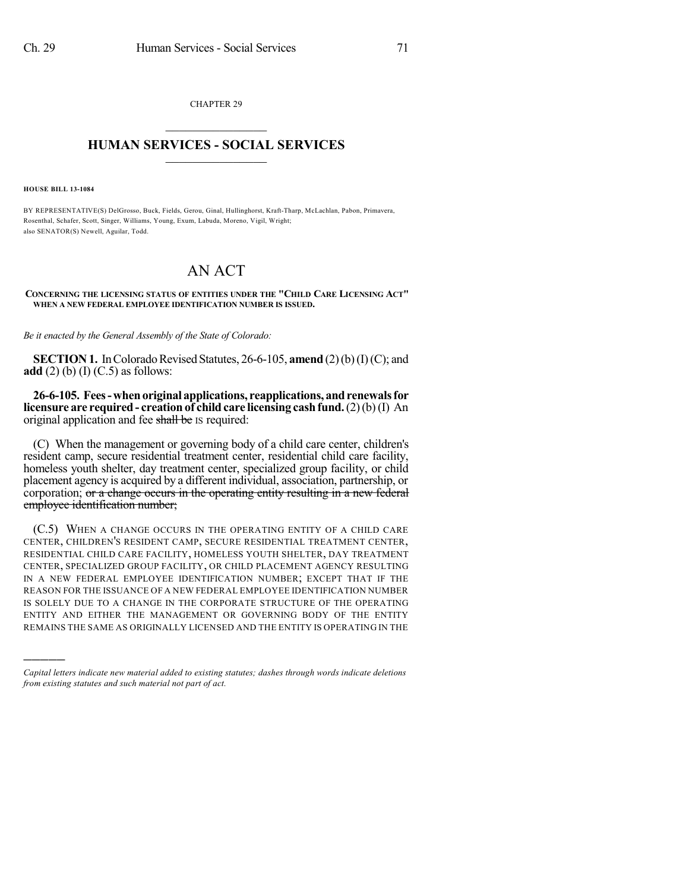CHAPTER 29  $\mathcal{L}_\text{max}$  . The set of the set of the set of the set of the set of the set of the set of the set of the set of the set of the set of the set of the set of the set of the set of the set of the set of the set of the set

## **HUMAN SERVICES - SOCIAL SERVICES**  $\frac{1}{2}$  ,  $\frac{1}{2}$  ,  $\frac{1}{2}$  ,  $\frac{1}{2}$  ,  $\frac{1}{2}$  ,  $\frac{1}{2}$

**HOUSE BILL 13-1084**

)))))

BY REPRESENTATIVE(S) DelGrosso, Buck, Fields, Gerou, Ginal, Hullinghorst, Kraft-Tharp, McLachlan, Pabon, Primavera, Rosenthal, Schafer, Scott, Singer, Williams, Young, Exum, Labuda, Moreno, Vigil, Wright; also SENATOR(S) Newell, Aguilar, Todd.

## AN ACT

**CONCERNING THE LICENSING STATUS OF ENTITIES UNDER THE "CHILD CARE LICENSING ACT" WHEN A NEW FEDERAL EMPLOYEE IDENTIFICATION NUMBER IS ISSUED.**

*Be it enacted by the General Assembly of the State of Colorado:*

**SECTION 1.** In Colorado Revised Statutes, 26-6-105, **amend** (2)(b)(I)(C); and **add** (2) (b) (I) (C.5) as follows:

**26-6-105. Fees-whenoriginal applications, reapplications, andrenewalsfor licensure** are **required** - **creation** of **child care licensing cash fund.** (2)(b)(I) An original application and fee shall be IS required:

(C) When the management or governing body of a child care center, children's resident camp, secure residential treatment center, residential child care facility, homeless youth shelter, day treatment center, specialized group facility, or child placement agency is acquired by a different individual, association, partnership, or corporation; or a change occurs in the operating entity resulting in a new federal employee identification number;

(C.5) WHEN A CHANGE OCCURS IN THE OPERATING ENTITY OF A CHILD CARE CENTER, CHILDREN'S RESIDENT CAMP, SECURE RESIDENTIAL TREATMENT CENTER, RESIDENTIAL CHILD CARE FACILITY, HOMELESS YOUTH SHELTER, DAY TREATMENT CENTER, SPECIALIZED GROUP FACILITY, OR CHILD PLACEMENT AGENCY RESULTING IN A NEW FEDERAL EMPLOYEE IDENTIFICATION NUMBER; EXCEPT THAT IF THE REASON FOR THE ISSUANCE OF A NEW FEDERAL EMPLOYEE IDENTIFICATION NUMBER IS SOLELY DUE TO A CHANGE IN THE CORPORATE STRUCTURE OF THE OPERATING ENTITY AND EITHER THE MANAGEMENT OR GOVERNING BODY OF THE ENTITY REMAINS THE SAME AS ORIGINALLY LICENSED AND THE ENTITY IS OPERATING IN THE

*Capital letters indicate new material added to existing statutes; dashes through words indicate deletions from existing statutes and such material not part of act.*